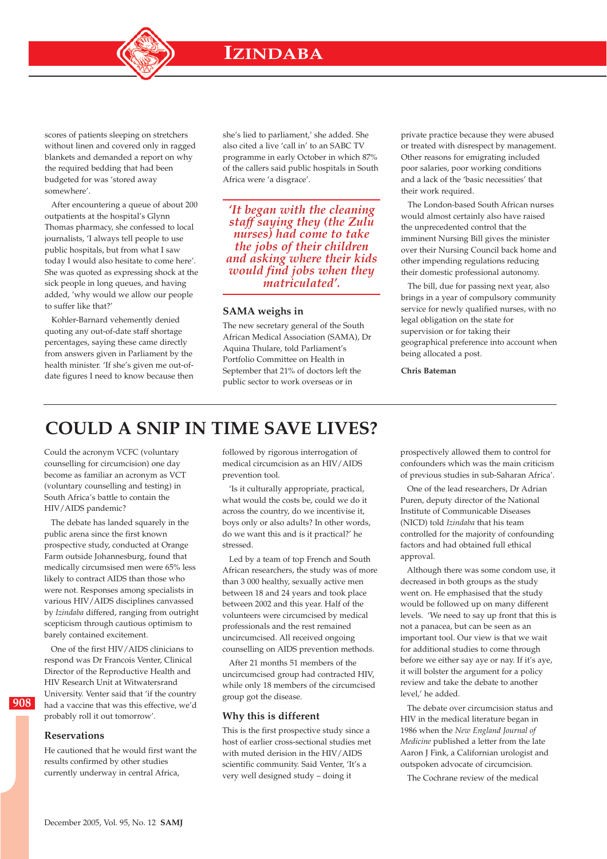scores of patients sleeping on stretchers without linen and covered only in ragged blankets and demanded a report on why the required bedding that had been budgeted for was 'stored away somewhere'.

After encountering a queue of about 200 outpatients at the hospital's Glynn Thomas pharmacy, she confessed to local journalists, 'I always tell people to use public hospitals, but from what I saw today I would also hesitate to come here'. She was quoted as expressing shock at the sick people in long queues, and having added, 'why would we allow our people to suffer like that?'

Kohler-Barnard vehemently denied quoting any out-of-date staff shortage percentages, saying these came directly from answers given in Parliament by the health minister. 'If she's given me out-ofdate figures I need to know because then she's lied to parliament,' she added. She also cited a live 'call in' to an SABC TV programme in early October in which 87% of the callers said public hospitals in South Africa were 'a disgrace'.

*'It began with the cleaning staff saying they (the Zulu nurses) had come to take the jobs of their children and asking where their kids would find jobs when they matriculated'.*

### **SAMA weighs in**

The new secretary general of the South African Medical Association (SAMA), Dr Aquina Thulare, told Parliament's Portfolio Committee on Health in September that 21% of doctors left the public sector to work overseas or in

private practice because they were abused or treated with disrespect by management. Other reasons for emigrating included poor salaries, poor working conditions and a lack of the 'basic necessities' that their work required.

The London-based South African nurses would almost certainly also have raised the unprecedented control that the imminent Nursing Bill gives the minister over their Nursing Council back home and other impending regulations reducing their domestic professional autonomy.

The bill, due for passing next year, also brings in a year of compulsory community service for newly qualified nurses, with no legal obligation on the state for supervision or for taking their geographical preference into account when being allocated a post.

**Chris Bateman**

# **COULD A SNIP IN TIME SAVE LIVES?**

Could the acronym VCFC (voluntary counselling for circumcision) one day become as familiar an acronym as VCT (voluntary counselling and testing) in South Africa's battle to contain the HIV/AIDS pandemic?

The debate has landed squarely in the public arena since the first known prospective study, conducted at Orange Farm outside Johannesburg, found that medically circumsised men were 65% less likely to contract AIDS than those who were not. Responses among specialists in various HIV/AIDS disciplines canvassed by *Izindaba* differed, ranging from outright scepticism through cautious optimism to barely contained excitement.

One of the first HIV/AIDS clinicians to respond was Dr Francois Venter, Clinical Director of the Reproductive Health and HIV Research Unit at Witwatersrand University. Venter said that 'if the country had a vaccine that was this effective, we'd probably roll it out tomorrow'.

### **Reservations**

**908**

He cautioned that he would first want the results confirmed by other studies currently underway in central Africa,

followed by rigorous interrogation of medical circumcision as an HIV/AIDS prevention tool.

'Is it culturally appropriate, practical, what would the costs be, could we do it across the country, do we incentivise it, boys only or also adults? In other words, do we want this and is it practical?' he stressed.

Led by a team of top French and South African researchers, the study was of more than 3 000 healthy, sexually active men between 18 and 24 years and took place between 2002 and this year. Half of the volunteers were circumcised by medical professionals and the rest remained uncircumcised. All received ongoing counselling on AIDS prevention methods.

After 21 months 51 members of the uncircumcised group had contracted HIV, while only 18 members of the circumcised group got the disease.

#### **Why this is different**

This is the first prospective study since a host of earlier cross-sectional studies met with muted derision in the HIV/AIDS scientific community. Said Venter, 'It's a very well designed study – doing it

prospectively allowed them to control for confounders which was the main criticism of previous studies in sub-Saharan Africa'.

One of the lead researchers, Dr Adrian Puren, deputy director of the National Institute of Communicable Diseases (NICD) told *Izindaba* that his team controlled for the majority of confounding factors and had obtained full ethical approval.

Although there was some condom use, it decreased in both groups as the study went on. He emphasised that the study would be followed up on many different levels. 'We need to say up front that this is not a panacea, but can be seen as an important tool. Our view is that we wait for additional studies to come through before we either say aye or nay. If it's aye, it will bolster the argument for a policy review and take the debate to another level,' he added.

The debate over circumcision status and HIV in the medical literature began in 1986 when the *New England Journal of Medicine* published a letter from the late Aaron J Fink, a Californian urologist and outspoken advocate of circumcision.

The Cochrane review of the medical